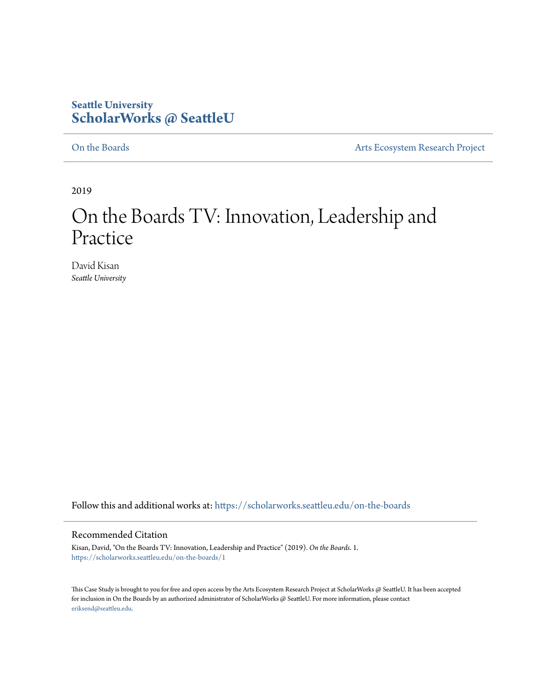## **Seattle University [ScholarWorks @ SeattleU](https://scholarworks.seattleu.edu?utm_source=scholarworks.seattleu.edu%2Fon-the-boards%2F1&utm_medium=PDF&utm_campaign=PDFCoverPages)**

[On the Boards](https://scholarworks.seattleu.edu/on-the-boards?utm_source=scholarworks.seattleu.edu%2Fon-the-boards%2F1&utm_medium=PDF&utm_campaign=PDFCoverPages) **[Arts Ecosystem Research Project](https://scholarworks.seattleu.edu/artsecosystem?utm_source=scholarworks.seattleu.edu%2Fon-the-boards%2F1&utm_medium=PDF&utm_campaign=PDFCoverPages)** 

2019

# On the Boards TV: Innovation, Leadership and Practice

David Kisan *Seattle University*

Follow this and additional works at: [https://scholarworks.seattleu.edu/on-the-boards](https://scholarworks.seattleu.edu/on-the-boards?utm_source=scholarworks.seattleu.edu%2Fon-the-boards%2F1&utm_medium=PDF&utm_campaign=PDFCoverPages)

#### Recommended Citation

Kisan, David, "On the Boards TV: Innovation, Leadership and Practice" (2019). *On the Boards*. 1. [https://scholarworks.seattleu.edu/on-the-boards/1](https://scholarworks.seattleu.edu/on-the-boards/1?utm_source=scholarworks.seattleu.edu%2Fon-the-boards%2F1&utm_medium=PDF&utm_campaign=PDFCoverPages)

This Case Study is brought to you for free and open access by the Arts Ecosystem Research Project at ScholarWorks @ SeattleU. It has been accepted for inclusion in On the Boards by an authorized administrator of ScholarWorks @ SeattleU. For more information, please contact [eriksend@seattleu.edu.](mailto:eriksend@seattleu.edu)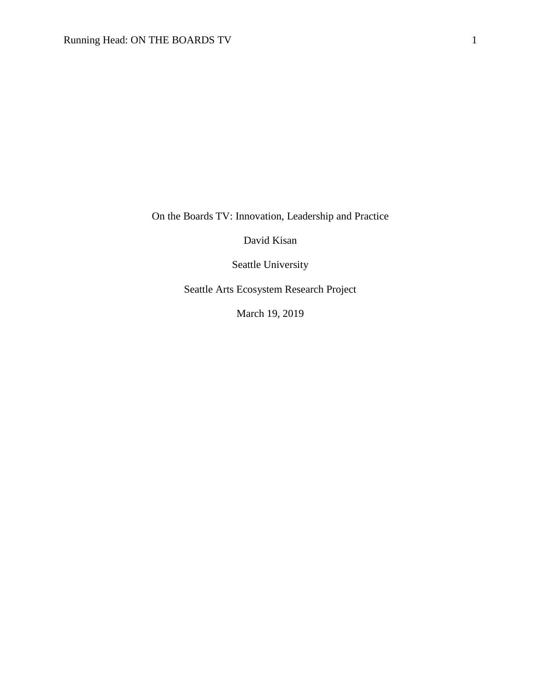On the Boards TV: Innovation, Leadership and Practice

David Kisan

Seattle University

Seattle Arts Ecosystem Research Project

March 19, 2019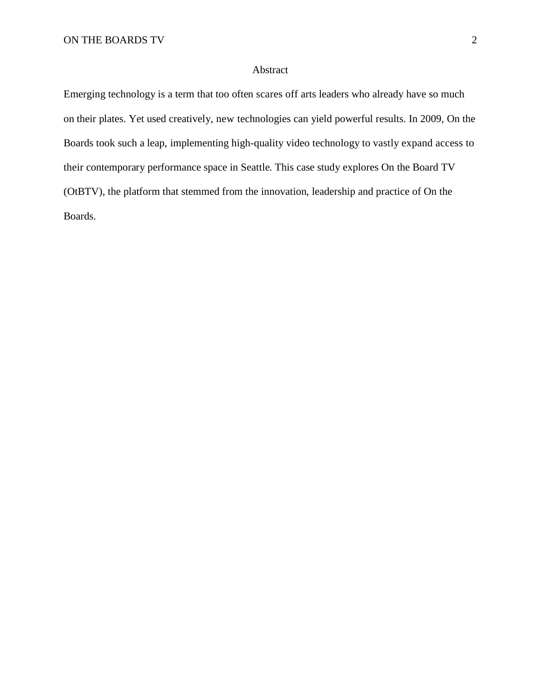#### Abstract

Emerging technology is a term that too often scares off arts leaders who already have so much on their plates. Yet used creatively, new technologies can yield powerful results. In 2009, On the Boards took such a leap, implementing high-quality video technology to vastly expand access to their contemporary performance space in Seattle. This case study explores On the Board TV (OtBTV), the platform that stemmed from the innovation, leadership and practice of On the Boards.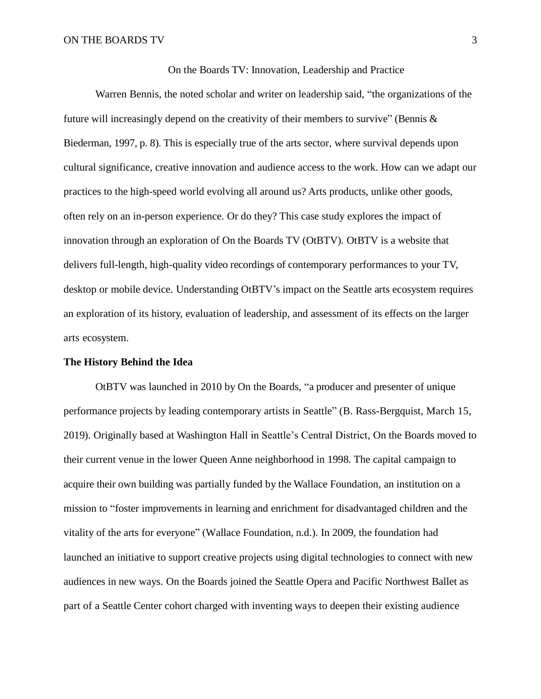On the Boards TV: Innovation, Leadership and Practice

Warren Bennis, the noted scholar and writer on leadership said, "the organizations of the future will increasingly depend on the creativity of their members to survive" (Bennis  $\&$ Biederman, 1997, p. 8). This is especially true of the arts sector, where survival depends upon cultural significance, creative innovation and audience access to the work. How can we adapt our practices to the high-speed world evolving all around us? Arts products, unlike other goods, often rely on an in-person experience. Or do they? This case study explores the impact of innovation through an exploration of On the Boards TV (OtBTV). OtBTV is a website that delivers full-length, high-quality video recordings of contemporary performances to your TV, desktop or mobile device. Understanding OtBTV's impact on the Seattle arts ecosystem requires an exploration of its history, evaluation of leadership, and assessment of its effects on the larger arts ecosystem.

#### **The History Behind the Idea**

OtBTV was launched in 2010 by On the Boards, "a producer and presenter of unique performance projects by leading contemporary artists in Seattle" (B. Rass-Bergquist, March 15, 2019). Originally based at Washington Hall in Seattle's Central District, On the Boards moved to their current venue in the lower Queen Anne neighborhood in 1998. The capital campaign to acquire their own building was partially funded by the Wallace Foundation, an institution on a mission to "foster improvements in learning and enrichment for disadvantaged children and the vitality of the arts for everyone" (Wallace Foundation, n.d.). In 2009, the foundation had launched an initiative to support creative projects using digital technologies to connect with new audiences in new ways. On the Boards joined the Seattle Opera and Pacific Northwest Ballet as part of a Seattle Center cohort charged with inventing ways to deepen their existing audience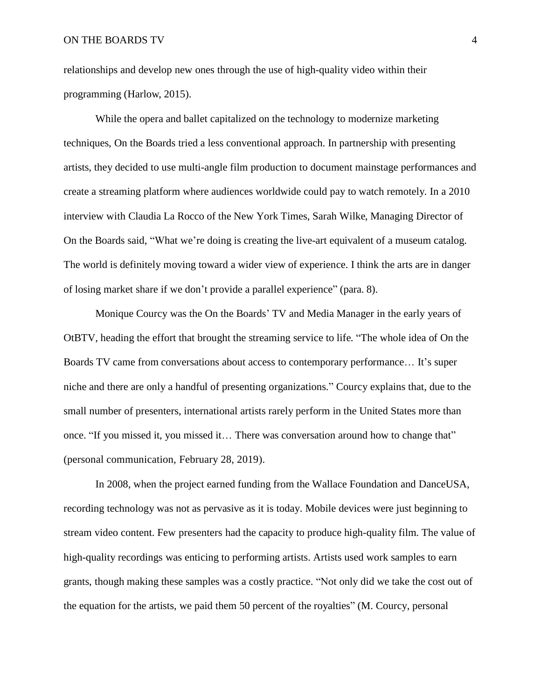relationships and develop new ones through the use of high-quality video within their programming (Harlow, 2015).

While the opera and ballet capitalized on the technology to modernize marketing techniques, On the Boards tried a less conventional approach. In partnership with presenting artists, they decided to use multi-angle film production to document mainstage performances and create a streaming platform where audiences worldwide could pay to watch remotely. In a 2010 interview with Claudia La Rocco of the New York Times, Sarah Wilke, Managing Director of On the Boards said, "What we're doing is creating the live-art equivalent of a museum catalog. The world is definitely moving toward a wider view of experience. I think the arts are in danger of losing market share if we don't provide a parallel experience" (para. 8).

Monique Courcy was the On the Boards' TV and Media Manager in the early years of OtBTV, heading the effort that brought the streaming service to life. "The whole idea of On the Boards TV came from conversations about access to contemporary performance… It's super niche and there are only a handful of presenting organizations." Courcy explains that, due to the small number of presenters, international artists rarely perform in the United States more than once. "If you missed it, you missed it… There was conversation around how to change that" (personal communication, February 28, 2019).

In 2008, when the project earned funding from the Wallace Foundation and DanceUSA, recording technology was not as pervasive as it is today. Mobile devices were just beginning to stream video content. Few presenters had the capacity to produce high-quality film. The value of high-quality recordings was enticing to performing artists. Artists used work samples to earn grants, though making these samples was a costly practice. "Not only did we take the cost out of the equation for the artists, we paid them 50 percent of the royalties" (M. Courcy, personal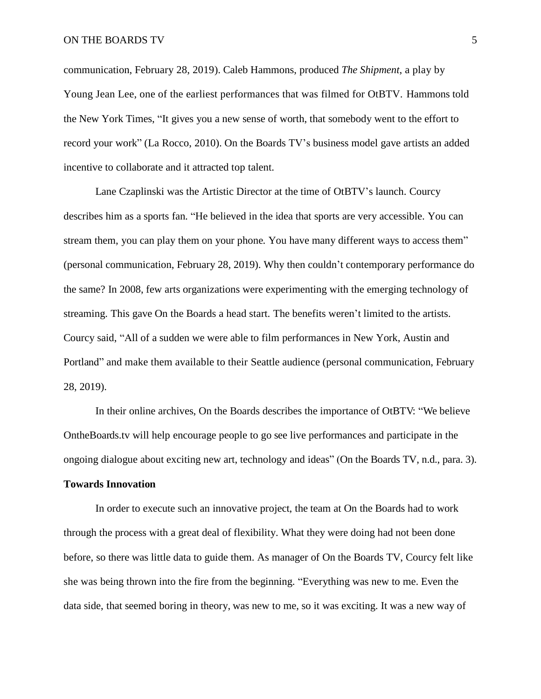communication, February 28, 2019). Caleb Hammons, produced *The Shipment*, a play by Young Jean Lee, one of the earliest performances that was filmed for OtBTV. Hammons told the New York Times, "It gives you a new sense of worth, that somebody went to the effort to record your work" (La Rocco, 2010). On the Boards TV's business model gave artists an added incentive to collaborate and it attracted top talent.

Lane Czaplinski was the Artistic Director at the time of OtBTV's launch. Courcy describes him as a sports fan. "He believed in the idea that sports are very accessible. You can stream them, you can play them on your phone. You have many different ways to access them" (personal communication, February 28, 2019). Why then couldn't contemporary performance do the same? In 2008, few arts organizations were experimenting with the emerging technology of streaming. This gave On the Boards a head start. The benefits weren't limited to the artists. Courcy said, "All of a sudden we were able to film performances in New York, Austin and Portland" and make them available to their Seattle audience (personal communication, February 28, 2019).

In their online archives, On the Boards describes the importance of OtBTV: "We believe OntheBoards.tv will help encourage people to go see live performances and participate in the ongoing dialogue about exciting new art, technology and ideas" (On the Boards TV, n.d., para. 3).

#### **Towards Innovation**

In order to execute such an innovative project, the team at On the Boards had to work through the process with a great deal of flexibility. What they were doing had not been done before, so there was little data to guide them. As manager of On the Boards TV, Courcy felt like she was being thrown into the fire from the beginning. "Everything was new to me. Even the data side, that seemed boring in theory, was new to me, so it was exciting. It was a new way of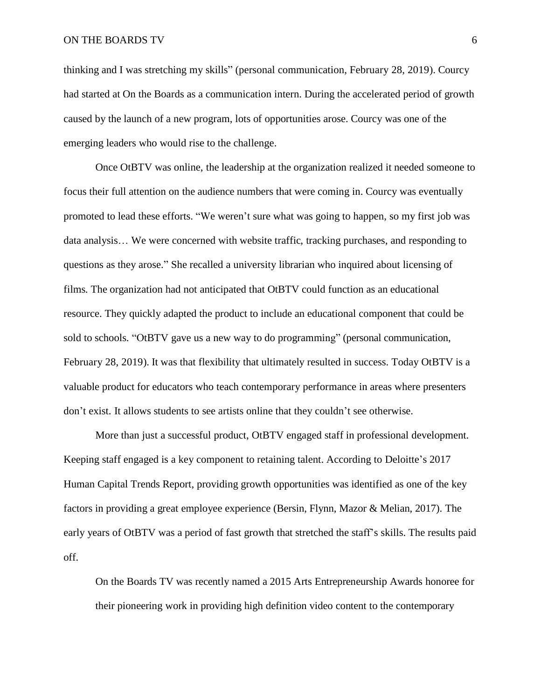#### ON THE BOARDS TV 6

thinking and I was stretching my skills" (personal communication, February 28, 2019). Courcy had started at On the Boards as a communication intern. During the accelerated period of growth caused by the launch of a new program, lots of opportunities arose. Courcy was one of the emerging leaders who would rise to the challenge.

Once OtBTV was online, the leadership at the organization realized it needed someone to focus their full attention on the audience numbers that were coming in. Courcy was eventually promoted to lead these efforts. "We weren't sure what was going to happen, so my first job was data analysis… We were concerned with website traffic, tracking purchases, and responding to questions as they arose." She recalled a university librarian who inquired about licensing of films. The organization had not anticipated that OtBTV could function as an educational resource. They quickly adapted the product to include an educational component that could be sold to schools. "OtBTV gave us a new way to do programming" (personal communication, February 28, 2019). It was that flexibility that ultimately resulted in success. Today OtBTV is a valuable product for educators who teach contemporary performance in areas where presenters don't exist. It allows students to see artists online that they couldn't see otherwise.

More than just a successful product, OtBTV engaged staff in professional development. Keeping staff engaged is a key component to retaining talent. According to Deloitte's 2017 Human Capital Trends Report, providing growth opportunities was identified as one of the key factors in providing a great employee experience (Bersin, Flynn, Mazor & Melian, 2017). The early years of OtBTV was a period of fast growth that stretched the staff's skills. The results paid off.

On the Boards TV was recently named a 2015 Arts Entrepreneurship Awards honoree for their pioneering work in providing high definition video content to the contemporary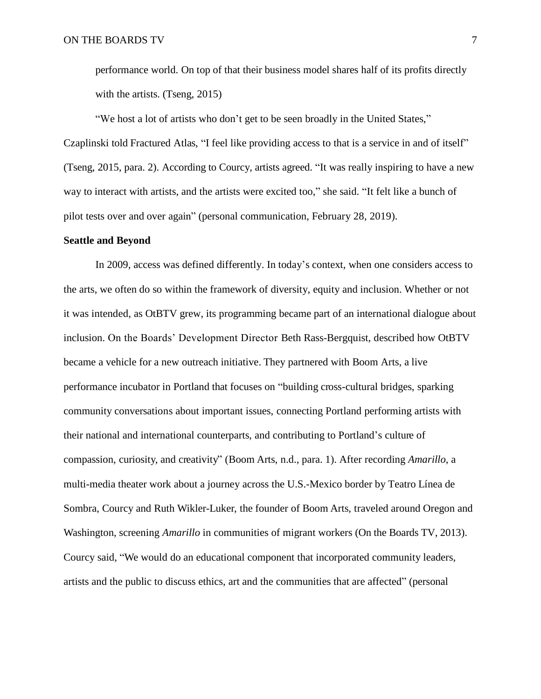performance world. On top of that their business model shares half of its profits directly with the artists. (Tseng, 2015)

"We host a lot of artists who don't get to be seen broadly in the United States," Czaplinski told Fractured Atlas, "I feel like providing access to that is a service in and of itself" (Tseng, 2015, para. 2). According to Courcy, artists agreed. "It was really inspiring to have a new way to interact with artists, and the artists were excited too," she said. "It felt like a bunch of pilot tests over and over again" (personal communication, February 28, 2019).

#### **Seattle and Beyond**

In 2009, access was defined differently. In today's context, when one considers access to the arts, we often do so within the framework of diversity, equity and inclusion. Whether or not it was intended, as OtBTV grew, its programming became part of an international dialogue about inclusion. On the Boards' Development Director Beth Rass-Bergquist, described how OtBTV became a vehicle for a new outreach initiative. They partnered with Boom Arts, a live performance incubator in Portland that focuses on "building cross-cultural bridges, sparking community conversations about important issues, connecting Portland performing artists with their national and international counterparts, and contributing to Portland's culture of compassion, curiosity, and creativity" (Boom Arts, n.d., para. 1). After recording *Amarillo*, a multi-media theater work about a journey across the U.S.-Mexico border by Teatro Línea de Sombra, Courcy and Ruth Wikler-Luker, the founder of Boom Arts, traveled around Oregon and Washington, screening *Amarillo* in communities of migrant workers (On the Boards TV, 2013). Courcy said, "We would do an educational component that incorporated community leaders, artists and the public to discuss ethics, art and the communities that are affected" (personal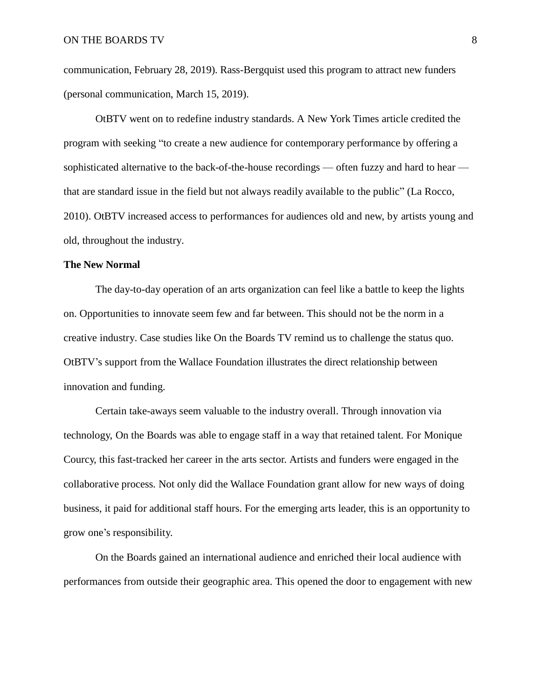communication, February 28, 2019). Rass-Bergquist used this program to attract new funders (personal communication, March 15, 2019).

OtBTV went on to redefine industry standards. A New York Times article credited the program with seeking "to create a new audience for contemporary performance by offering a sophisticated alternative to the back-of-the-house recordings — often fuzzy and hard to hear that are standard issue in the field but not always readily available to the public" (La Rocco, 2010). OtBTV increased access to performances for audiences old and new, by artists young and old, throughout the industry.

#### **The New Normal**

The day-to-day operation of an arts organization can feel like a battle to keep the lights on. Opportunities to innovate seem few and far between. This should not be the norm in a creative industry. Case studies like On the Boards TV remind us to challenge the status quo. OtBTV's support from the Wallace Foundation illustrates the direct relationship between innovation and funding.

Certain take-aways seem valuable to the industry overall. Through innovation via technology, On the Boards was able to engage staff in a way that retained talent. For Monique Courcy, this fast-tracked her career in the arts sector. Artists and funders were engaged in the collaborative process. Not only did the Wallace Foundation grant allow for new ways of doing business, it paid for additional staff hours. For the emerging arts leader, this is an opportunity to grow one's responsibility.

On the Boards gained an international audience and enriched their local audience with performances from outside their geographic area. This opened the door to engagement with new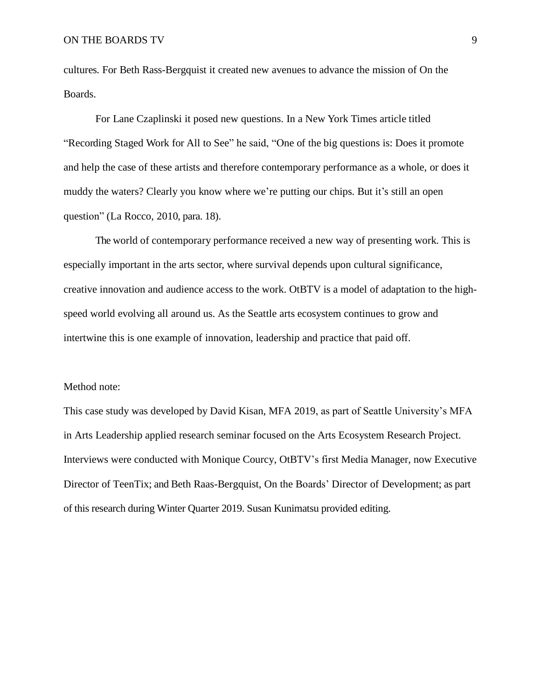cultures. For Beth Rass-Bergquist it created new avenues to advance the mission of On the Boards.

For Lane Czaplinski it posed new questions. In a New York Times article titled "Recording Staged Work for All to See" he said, "One of the big questions is: Does it promote and help the case of these artists and therefore contemporary performance as a whole, or does it muddy the waters? Clearly you know where we're putting our chips. But it's still an open question" (La Rocco, 2010, para. 18).

The world of contemporary performance received a new way of presenting work. This is especially important in the arts sector, where survival depends upon cultural significance, creative innovation and audience access to the work. OtBTV is a model of adaptation to the highspeed world evolving all around us. As the Seattle arts ecosystem continues to grow and intertwine this is one example of innovation, leadership and practice that paid off.

#### Method note:

This case study was developed by David Kisan, MFA 2019, as part of Seattle University's MFA in Arts Leadership applied research seminar focused on the Arts Ecosystem Research Project. Interviews were conducted with Monique Courcy, OtBTV's first Media Manager, now Executive Director of TeenTix; and Beth Raas-Bergquist, On the Boards' Director of Development; as part of this research during Winter Quarter 2019. Susan Kunimatsu provided editing.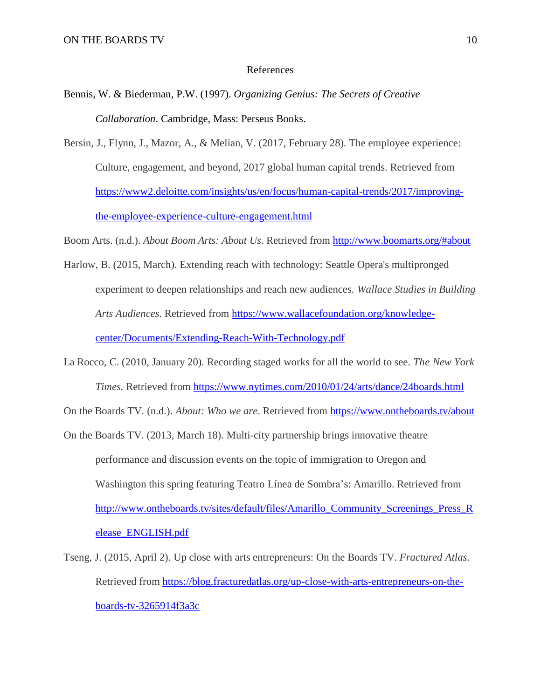#### References

- Bennis, W. & Biederman, P.W. (1997). *Organizing Genius: The Secrets of Creative Collaboration*. Cambridge, Mass: Perseus Books.
- Bersin, J., Flynn, J., Mazor, A., & Melian, V. (2017, February 28). The employee experience: Culture, engagement, and beyond, 2017 global human capital trends. Retrieved from [https://www2.deloitte.com/insights/us/en/focus/human-capital-trends/2017/improving](https://www2.deloitte.com/insights/us/en/focus/human-capital-trends/2017/improving-the-employee-experience-culture-engagement.html)[the-employee-experience-culture-engagement.html](https://www2.deloitte.com/insights/us/en/focus/human-capital-trends/2017/improving-the-employee-experience-culture-engagement.html)

Boom Arts. (n.d.). *About Boom Arts: About Us*. Retrieved from<http://www.boomarts.org/#about>

- Harlow, B. (2015, March). Extending reach with technology: Seattle Opera's multipronged experiment to deepen relationships and reach new audiences. *Wallace Studies in Building Arts Audiences*. Retrieved from [https://www.wallacefoundation.org/knowledge](https://www.wallacefoundation.org/knowledge-center/Documents/Extending-Reach-With-Technology.pdf)[center/Documents/Extending-Reach-With-Technology.pdf](https://www.wallacefoundation.org/knowledge-center/Documents/Extending-Reach-With-Technology.pdf)
- La Rocco, C. (2010, January 20). Recording staged works for all the world to see. *The New York Times*. Retrieved from <https://www.nytimes.com/2010/01/24/arts/dance/24boards.html>

On the Boards TV. (n.d.). *About: Who we are*. Retrieved from <https://www.ontheboards.tv/about>

- On the Boards TV. (2013, March 18). Multi-city partnership brings innovative theatre performance and discussion events on the topic of immigration to Oregon and Washington this spring featuring Teatro Línea de Sombra's: Amarillo. Retrieved from [http://www.ontheboards.tv/sites/default/files/Amarillo\\_Community\\_Screenings\\_Press\\_R](http://www.ontheboards.tv/sites/default/files/Amarillo_Community_Screenings_Press_Release_ENGLISH.pdf) [elease\\_ENGLISH.pdf](http://www.ontheboards.tv/sites/default/files/Amarillo_Community_Screenings_Press_Release_ENGLISH.pdf)
- Tseng, J. (2015, April 2). Up close with arts entrepreneurs: On the Boards TV. *Fractured Atlas*. Retrieved from [https://blog.fracturedatlas.org/up-close-with-arts-entrepreneurs-on-the](https://blog.fracturedatlas.org/up-close-with-arts-entrepreneurs-on-the-boards-tv-3265914f3a3c)[boards-tv-3265914f3a3c](https://blog.fracturedatlas.org/up-close-with-arts-entrepreneurs-on-the-boards-tv-3265914f3a3c)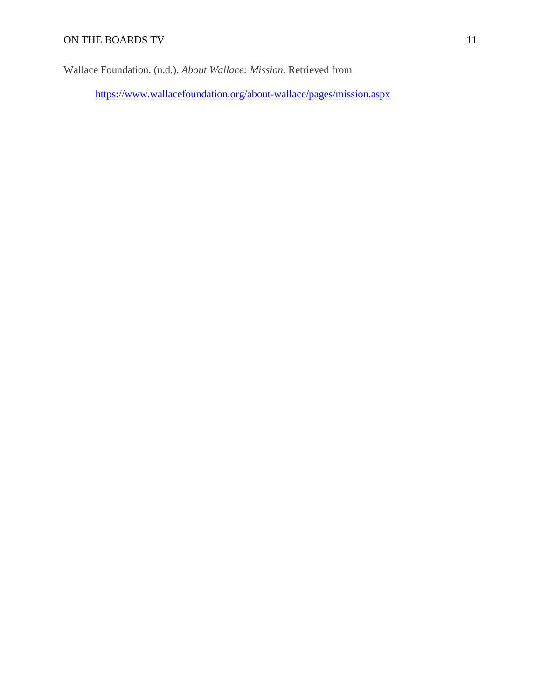Wallace Foundation. (n.d.). *About Wallace: Mission*. Retrieved from

<https://www.wallacefoundation.org/about-wallace/pages/mission.aspx>